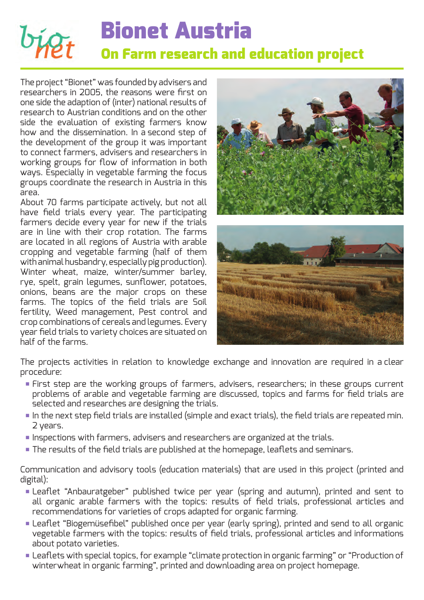# **Bionet Austria On Farm research and education project**

The project "Bionet" was founded by advisers and researchers in 2005, the reasons were first on one side the adaption of (inter) national results of research to Austrian conditions and on the other side the evaluation of existing farmers know how and the dissemination. In a second step of the development of the group it was important to connect farmers, advisers and researchers in working groups for flow of information in both ways. Especially in vegetable farming the focus groups coordinate the research in Austria in this area.

About 70 farms participate actively, but not all have field trials every year. The participating farmers decide every year for new if the trials are in line with their crop rotation. The farms are located in all regions of Austria with arable cropping and vegetable farming (half of them with animal husbandry, especially pig production). Winter wheat, maize, winter/summer barley, rye, spelt, grain legumes, sunflower, potatoes, onions, beans are the major crops on these farms. The topics of the field trials are Soil fertility, Weed management, Pest control and crop combinations of cereals and legumes. Every year field trials to variety choices are situated on half of the farms.



The projects activities in relation to knowledge exchange and innovation are required in a clear procedure:

- First step are the working groups of farmers, advisers, researchers; in these groups current problems of arable and vegetable farming are discussed, topics and farms for field trials are selected and researches are designing the trials.
- $\blacksquare$  In the next step field trials are installed (simple and exact trials), the field trials are repeated min. 2 years.
- Inspections with farmers, advisers and researchers are organized at the trials.
- The results of the field trials are published at the homepage, leaflets and seminars.

Communication and advisory tools (education materials) that are used in this project (printed and digital):

- Leaflet "Anbauratgeber" published twice per year (spring and autumn), printed and sent to all organic arable farmers with the topics: results of field trials, professional articles and recommendations for varieties of crops adapted for organic farming.
- Leaflet "Biogemüsefibel" published once per year (early spring), printed and send to all organic vegetable farmers with the topics: results of field trials, professional articles and informations about potato varieties.
- Leaflets with special topics, for example "climate protection in organic farming" or "Production of winterwheat in organic farming", printed and downloading area on project homepage.